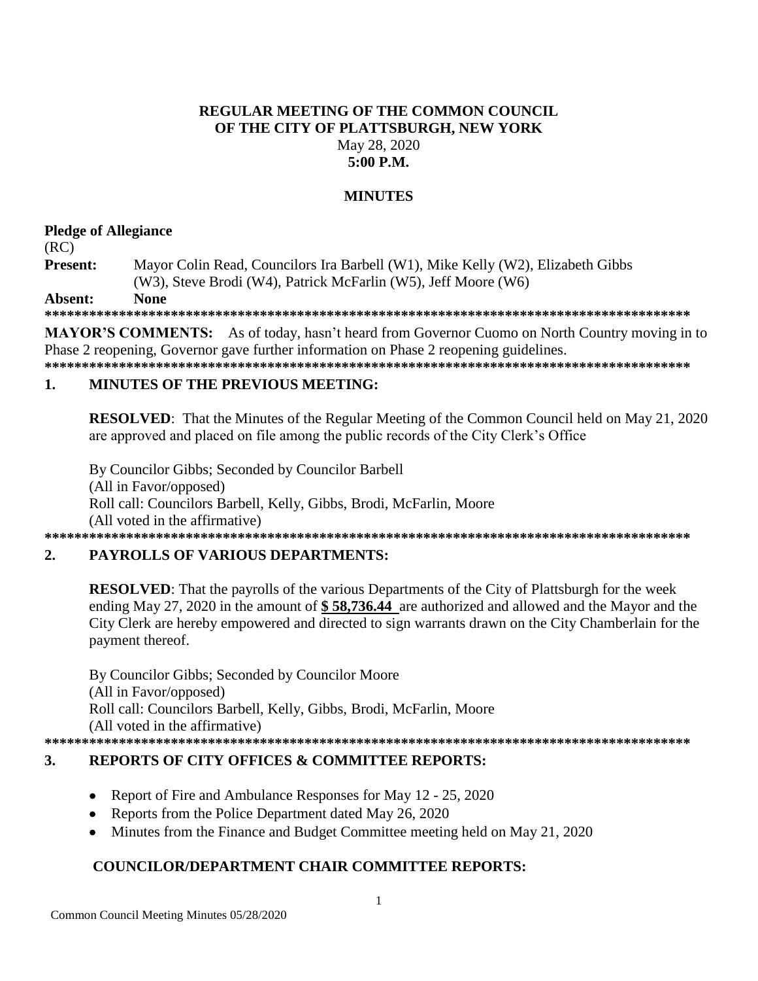### **REGULAR MEETING OF THE COMMON COUNCIL** OF THE CITY OF PLATTSBURGH, NEW YORK May 28, 2020  $5:00$  P.M.

## **MINUTES**

### **Pledge of Allegiance**

 $(RC)$ 

Present: Mayor Colin Read, Councilors Ira Barbell (W1), Mike Kelly (W2), Elizabeth Gibbs (W3), Steve Brodi (W4), Patrick McFarlin (W5), Jeff Moore (W6)

**None** Absent:

**MAYOR'S COMMENTS:** As of today, hasn't heard from Governor Cuomo on North Country moving in to Phase 2 reopening, Governor gave further information on Phase 2 reopening guidelines.

# 

#### $\blacksquare$ **MINUTES OF THE PREVIOUS MEETING:**

**RESOLVED:** That the Minutes of the Regular Meeting of the Common Council held on May 21, 2020 are approved and placed on file among the public records of the City Clerk's Office

By Councilor Gibbs; Seconded by Councilor Barbell (All in Favor/opposed) Roll call: Councilors Barbell, Kelly, Gibbs, Brodi, McFarlin, Moore (All voted in the affirmative) 

#### $2.$ **PAYROLLS OF VARIOUS DEPARTMENTS:**

**RESOLVED:** That the payrolls of the various Departments of the City of Plattsburgh for the week ending May 27, 2020 in the amount of \$58,736.44 are authorized and allowed and the Mayor and the City Clerk are hereby empowered and directed to sign warrants drawn on the City Chamberlain for the payment thereof.

By Councilor Gibbs; Seconded by Councilor Moore (All in Favor/opposed) Roll call: Councilors Barbell, Kelly, Gibbs, Brodi, McFarlin, Moore (All voted in the affirmative) 

#### $3.$ **REPORTS OF CITY OFFICES & COMMITTEE REPORTS:**

- Report of Fire and Ambulance Responses for May 12 25, 2020  $\bullet$
- Reports from the Police Department dated May 26, 2020
- Minutes from the Finance and Budget Committee meeting held on May 21, 2020

## **COUNCILOR/DEPARTMENT CHAIR COMMITTEE REPORTS:**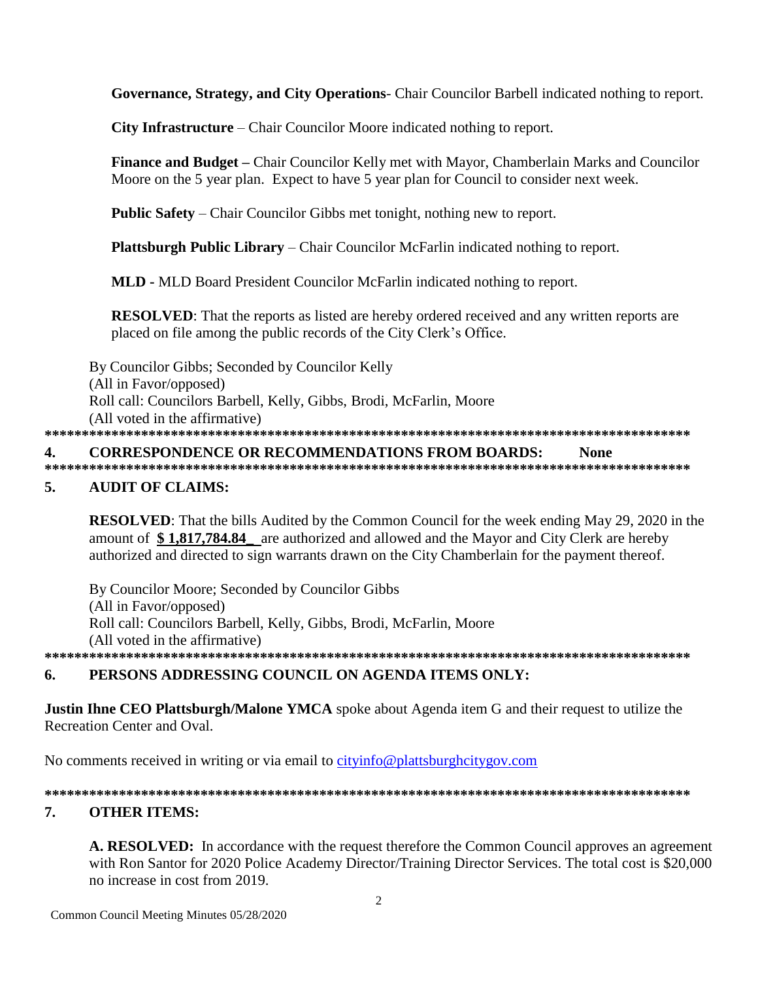**Governance, Strategy, and City Operations**- Chair Councilor Barbell indicated nothing to report.

**City Infrastructure** – Chair Councilor Moore indicated nothing to report.

**Finance and Budget –** Chair Councilor Kelly met with Mayor, Chamberlain Marks and Councilor Moore on the 5 year plan. Expect to have 5 year plan for Council to consider next week.

**Public Safety** – Chair Councilor Gibbs met tonight, nothing new to report.

**Plattsburgh Public Library** – Chair Councilor McFarlin indicated nothing to report.

**MLD -** MLD Board President Councilor McFarlin indicated nothing to report.

**RESOLVED**: That the reports as listed are hereby ordered received and any written reports are placed on file among the public records of the City Clerk's Office.

By Councilor Gibbs; Seconded by Councilor Kelly (All in Favor/opposed) Roll call: Councilors Barbell, Kelly, Gibbs, Brodi, McFarlin, Moore (All voted in the affirmative) **\*\*\*\*\*\*\*\*\*\*\*\*\*\*\*\*\*\*\*\*\*\*\*\*\*\*\*\*\*\*\*\*\*\*\*\*\*\*\*\*\*\*\*\*\*\*\*\*\*\*\*\*\*\*\*\*\*\*\*\*\*\*\*\*\*\*\*\*\*\*\*\*\*\*\*\*\*\*\*\*\*\*\*\*\*\*\* 4. CORRESPONDENCE OR RECOMMENDATIONS FROM BOARDS: None**

# **\*\*\*\*\*\*\*\*\*\*\*\*\*\*\*\*\*\*\*\*\*\*\*\*\*\*\*\*\*\*\*\*\*\*\*\*\*\*\*\*\*\*\*\*\*\*\*\*\*\*\*\*\*\*\*\*\*\*\*\*\*\*\*\*\*\*\*\*\*\*\*\*\*\*\*\*\*\*\*\*\*\*\*\*\*\*\***

## **5. AUDIT OF CLAIMS:**

**RESOLVED**: That the bills Audited by the Common Council for the week ending May 29, 2020 in the amount of **\$ 1,817,784.84\_** are authorized and allowed and the Mayor and City Clerk are hereby authorized and directed to sign warrants drawn on the City Chamberlain for the payment thereof.

By Councilor Moore; Seconded by Councilor Gibbs (All in Favor/opposed) Roll call: Councilors Barbell, Kelly, Gibbs, Brodi, McFarlin, Moore (All voted in the affirmative) **\*\*\*\*\*\*\*\*\*\*\*\*\*\*\*\*\*\*\*\*\*\*\*\*\*\*\*\*\*\*\*\*\*\*\*\*\*\*\*\*\*\*\*\*\*\*\*\*\*\*\*\*\*\*\*\*\*\*\*\*\*\*\*\*\*\*\*\*\*\*\*\*\*\*\*\*\*\*\*\*\*\*\*\*\*\*\***

## **6. PERSONS ADDRESSING COUNCIL ON AGENDA ITEMS ONLY:**

**Justin Ihne CEO Plattsburgh/Malone YMCA** spoke about Agenda item G and their request to utilize the Recreation Center and Oval.

No comments received in writing or via email to [cityinfo@plattsburghcitygov.com](mailto:cityinfo@plattsburghcitygov.com)

**\*\*\*\*\*\*\*\*\*\*\*\*\*\*\*\*\*\*\*\*\*\*\*\*\*\*\*\*\*\*\*\*\*\*\*\*\*\*\*\*\*\*\*\*\*\*\*\*\*\*\*\*\*\*\*\*\*\*\*\*\*\*\*\*\*\*\*\*\*\*\*\*\*\*\*\*\*\*\*\*\*\*\*\*\*\*\*** 

## **7. OTHER ITEMS:**

**A. RESOLVED:** In accordance with the request therefore the Common Council approves an agreement with Ron Santor for 2020 Police Academy Director/Training Director Services. The total cost is \$20,000 no increase in cost from 2019.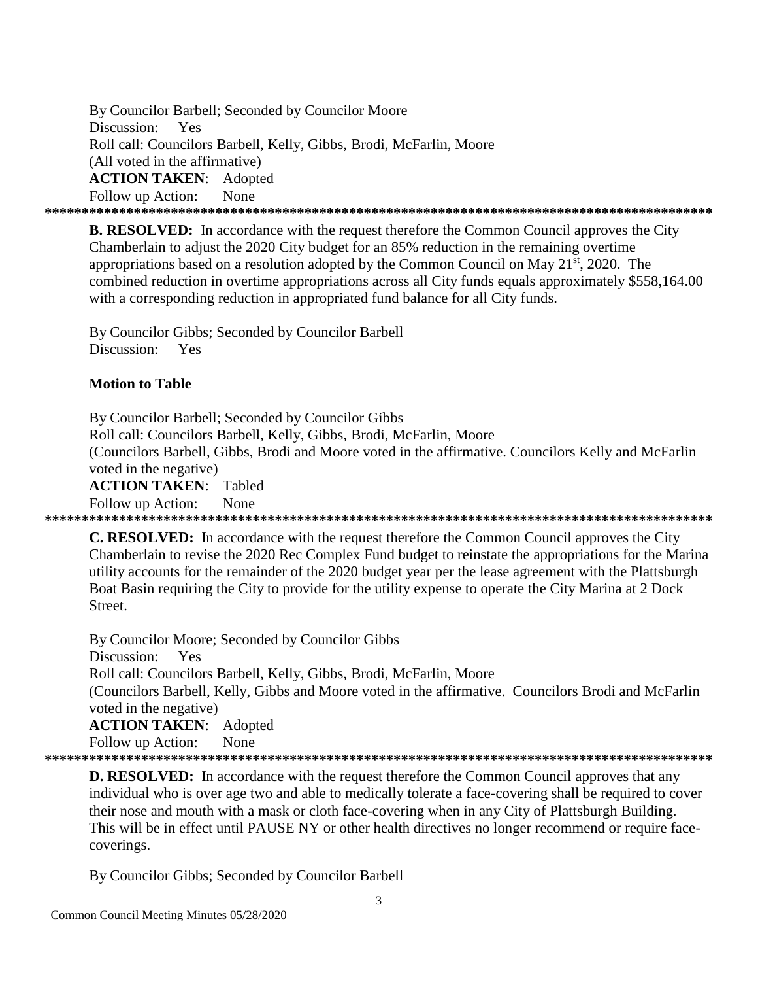By Councilor Barbell; Seconded by Councilor Moore Discussion: Yes Roll call: Councilors Barbell, Kelly, Gibbs, Brodi, McFarlin, Moore (All voted in the affirmative) **ACTION TAKEN: Adopted** Follow up Action: **None** 

**B. RESOLVED:** In accordance with the request therefore the Common Council approves the City Chamberlain to adjust the 2020 City budget for an 85% reduction in the remaining overtime appropriations based on a resolution adopted by the Common Council on May  $21^{st}$ , 2020. The combined reduction in overtime appropriations across all City funds equals approximately \$558,164.00 with a corresponding reduction in appropriated fund balance for all City funds.

By Councilor Gibbs; Seconded by Councilor Barbell Discussion: Yes

### **Motion to Table**

By Councilor Barbell; Seconded by Councilor Gibbs Roll call: Councilors Barbell, Kelly, Gibbs, Brodi, McFarlin, Moore (Councilors Barbell, Gibbs, Brodi and Moore voted in the affirmative. Councilors Kelly and McFarlin voted in the negative) **ACTION TAKEN:** Tabled **None** Follow up Action: 

**C. RESOLVED:** In accordance with the request therefore the Common Council approves the City Chamberlain to revise the 2020 Rec Complex Fund budget to reinstate the appropriations for the Marina utility accounts for the remainder of the 2020 budget year per the lease agreement with the Plattsburgh Boat Basin requiring the City to provide for the utility expense to operate the City Marina at 2 Dock Street.

By Councilor Moore; Seconded by Councilor Gibbs Discussion: Yes Roll call: Councilors Barbell, Kelly, Gibbs, Brodi, McFarlin, Moore (Councilors Barbell, Kelly, Gibbs and Moore voted in the affirmative. Councilors Brodi and McFarlin voted in the negative) **ACTION TAKEN:** Adopted

Follow up Action: None

**D. RESOLVED:** In accordance with the request therefore the Common Council approves that any individual who is over age two and able to medically tolerate a face-covering shall be required to cover their nose and mouth with a mask or cloth face-covering when in any City of Plattsburgh Building. This will be in effect until PAUSE NY or other health directives no longer recommend or require facecoverings.

By Councilor Gibbs; Seconded by Councilor Barbell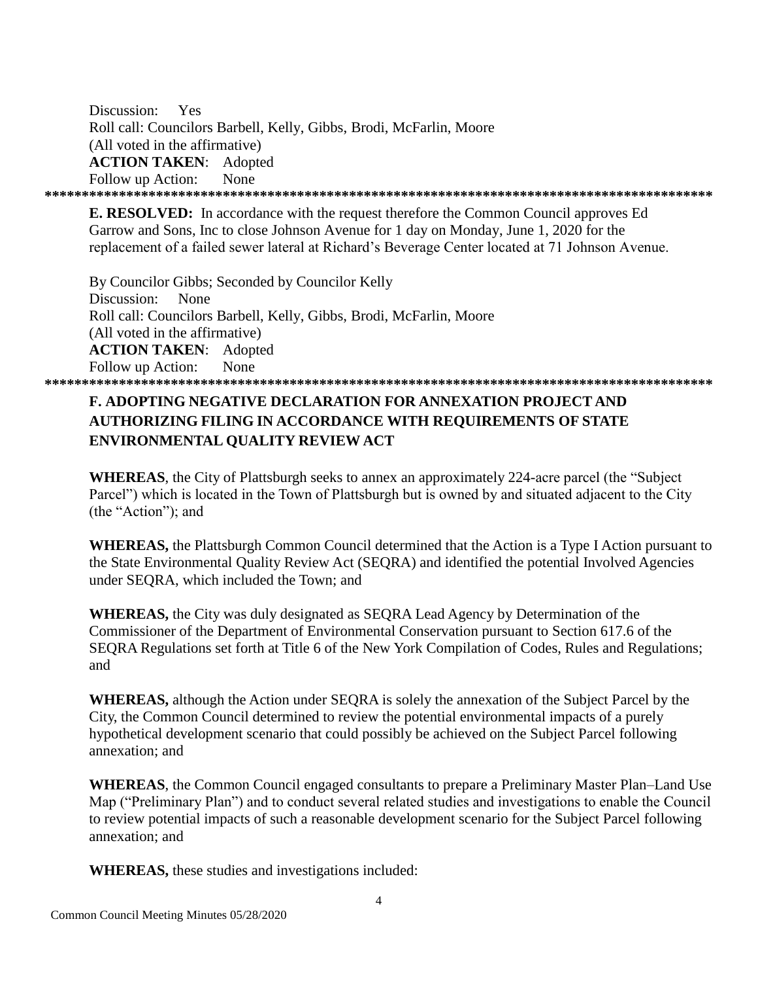Discussion: Yes Roll call: Councilors Barbell, Kelly, Gibbs, Brodi, McFarlin, Moore (All voted in the affirmative) **ACTION TAKEN**: Adopted Follow up Action: None **\*\*\*\*\*\*\*\*\*\*\*\*\*\*\*\*\*\*\*\*\*\*\*\*\*\*\*\*\*\*\*\*\*\*\*\*\*\*\*\*\*\*\*\*\*\*\*\*\*\*\*\*\*\*\*\*\*\*\*\*\*\*\*\*\*\*\*\*\*\*\*\*\*\*\*\*\*\*\*\*\*\*\*\*\*\*\*\*\*\***

**E. RESOLVED:** In accordance with the request therefore the Common Council approves Ed Garrow and Sons, Inc to close Johnson Avenue for 1 day on Monday, June 1, 2020 for the replacement of a failed sewer lateral at Richard's Beverage Center located at 71 Johnson Avenue.

By Councilor Gibbs; Seconded by Councilor Kelly Discussion: None Roll call: Councilors Barbell, Kelly, Gibbs, Brodi, McFarlin, Moore (All voted in the affirmative) **ACTION TAKEN**: Adopted Follow up Action: None **\*\*\*\*\*\*\*\*\*\*\*\*\*\*\*\*\*\*\*\*\*\*\*\*\*\*\*\*\*\*\*\*\*\*\*\*\*\*\*\*\*\*\*\*\*\*\*\*\*\*\*\*\*\*\*\*\*\*\*\*\*\*\*\*\*\*\*\*\*\*\*\*\*\*\*\*\*\*\*\*\*\*\*\*\*\*\*\*\*\***

## **F. ADOPTING NEGATIVE DECLARATION FOR ANNEXATION PROJECT AND AUTHORIZING FILING IN ACCORDANCE WITH REQUIREMENTS OF STATE ENVIRONMENTAL QUALITY REVIEW ACT**

**WHEREAS**, the City of Plattsburgh seeks to annex an approximately 224-acre parcel (the "Subject Parcel") which is located in the Town of Plattsburgh but is owned by and situated adjacent to the City (the "Action"); and

**WHEREAS,** the Plattsburgh Common Council determined that the Action is a Type I Action pursuant to the State Environmental Quality Review Act (SEQRA) and identified the potential Involved Agencies under SEQRA, which included the Town; and

**WHEREAS,** the City was duly designated as SEQRA Lead Agency by Determination of the Commissioner of the Department of Environmental Conservation pursuant to Section 617.6 of the SEQRA Regulations set forth at Title 6 of the New York Compilation of Codes, Rules and Regulations; and

**WHEREAS,** although the Action under SEQRA is solely the annexation of the Subject Parcel by the City, the Common Council determined to review the potential environmental impacts of a purely hypothetical development scenario that could possibly be achieved on the Subject Parcel following annexation; and

**WHEREAS**, the Common Council engaged consultants to prepare a Preliminary Master Plan–Land Use Map ("Preliminary Plan") and to conduct several related studies and investigations to enable the Council to review potential impacts of such a reasonable development scenario for the Subject Parcel following annexation; and

**WHEREAS,** these studies and investigations included: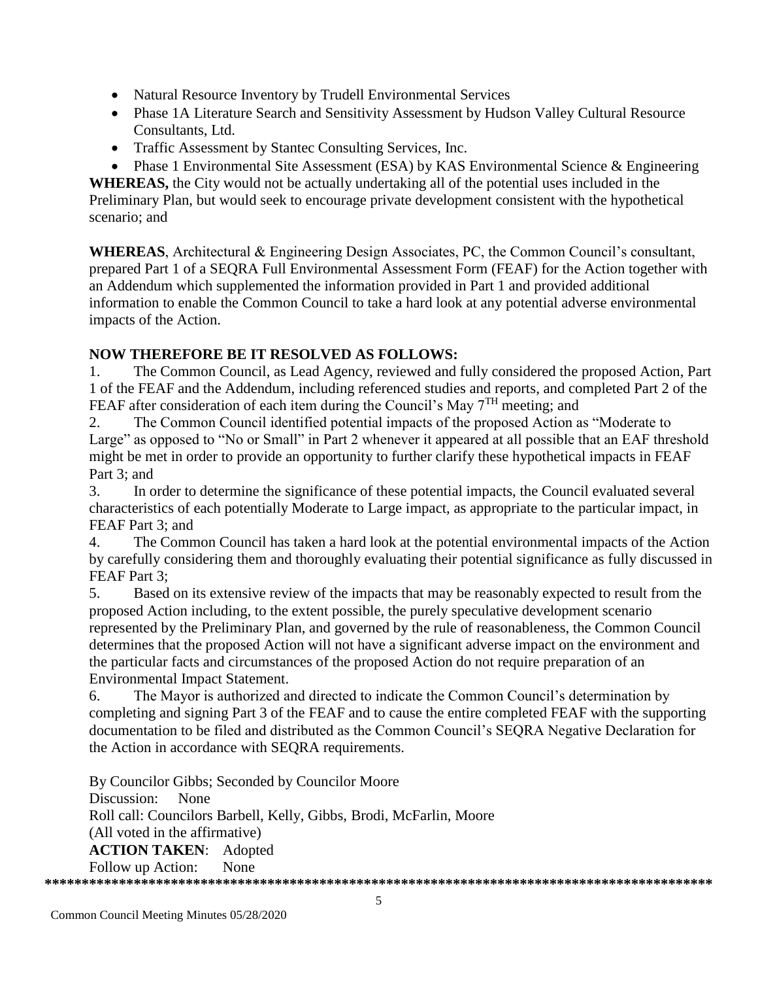- Natural Resource Inventory by Trudell Environmental Services
- Phase 1A Literature Search and Sensitivity Assessment by Hudson Valley Cultural Resource Consultants, Ltd.
- Traffic Assessment by Stantec Consulting Services, Inc.
- Phase 1 Environmental Site Assessment (ESA) by KAS Environmental Science & Engineering

**WHEREAS,** the City would not be actually undertaking all of the potential uses included in the Preliminary Plan, but would seek to encourage private development consistent with the hypothetical scenario; and

**WHEREAS**, Architectural & Engineering Design Associates, PC, the Common Council's consultant, prepared Part 1 of a SEQRA Full Environmental Assessment Form (FEAF) for the Action together with an Addendum which supplemented the information provided in Part 1 and provided additional information to enable the Common Council to take a hard look at any potential adverse environmental impacts of the Action.

## **NOW THEREFORE BE IT RESOLVED AS FOLLOWS:**

1. The Common Council, as Lead Agency, reviewed and fully considered the proposed Action, Part 1 of the FEAF and the Addendum, including referenced studies and reports, and completed Part 2 of the FEAF after consideration of each item during the Council's May 7<sup>TH</sup> meeting; and

2. The Common Council identified potential impacts of the proposed Action as "Moderate to Large" as opposed to "No or Small" in Part 2 whenever it appeared at all possible that an EAF threshold might be met in order to provide an opportunity to further clarify these hypothetical impacts in FEAF Part 3; and

3. In order to determine the significance of these potential impacts, the Council evaluated several characteristics of each potentially Moderate to Large impact, as appropriate to the particular impact, in FEAF Part 3; and

4. The Common Council has taken a hard look at the potential environmental impacts of the Action by carefully considering them and thoroughly evaluating their potential significance as fully discussed in FEAF Part 3;

5. Based on its extensive review of the impacts that may be reasonably expected to result from the proposed Action including, to the extent possible, the purely speculative development scenario represented by the Preliminary Plan, and governed by the rule of reasonableness, the Common Council determines that the proposed Action will not have a significant adverse impact on the environment and the particular facts and circumstances of the proposed Action do not require preparation of an Environmental Impact Statement.

6. The Mayor is authorized and directed to indicate the Common Council's determination by completing and signing Part 3 of the FEAF and to cause the entire completed FEAF with the supporting documentation to be filed and distributed as the Common Council's SEQRA Negative Declaration for the Action in accordance with SEQRA requirements.

By Councilor Gibbs; Seconded by Councilor Moore Discussion: None Roll call: Councilors Barbell, Kelly, Gibbs, Brodi, McFarlin, Moore (All voted in the affirmative) **ACTION TAKEN**: Adopted Follow up Action: None **\*\*\*\*\*\*\*\*\*\*\*\*\*\*\*\*\*\*\*\*\*\*\*\*\*\*\*\*\*\*\*\*\*\*\*\*\*\*\*\*\*\*\*\*\*\*\*\*\*\*\*\*\*\*\*\*\*\*\*\*\*\*\*\*\*\*\*\*\*\*\*\*\*\*\*\*\*\*\*\*\*\*\*\*\*\*\*\*\*\***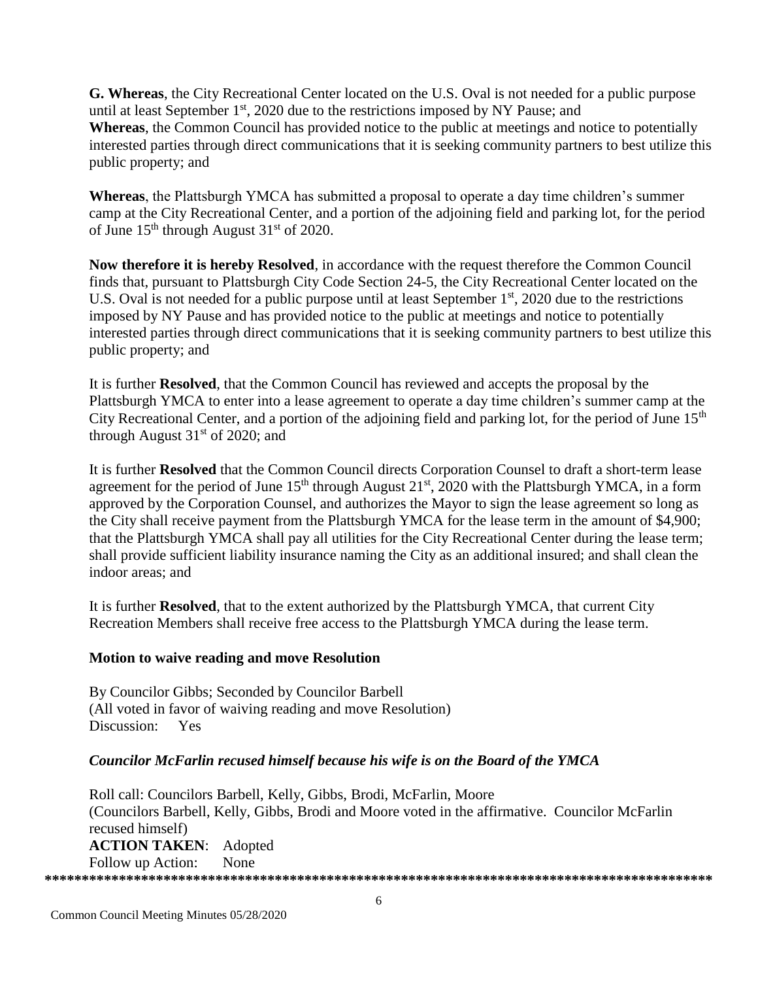**G. Whereas**, the City Recreational Center located on the U.S. Oval is not needed for a public purpose until at least September  $1<sup>st</sup>$ , 2020 due to the restrictions imposed by NY Pause; and **Whereas**, the Common Council has provided notice to the public at meetings and notice to potentially interested parties through direct communications that it is seeking community partners to best utilize this public property; and

**Whereas**, the Plattsburgh YMCA has submitted a proposal to operate a day time children's summer camp at the City Recreational Center, and a portion of the adjoining field and parking lot, for the period of June  $15<sup>th</sup>$  through August  $31<sup>st</sup>$  of 2020.

**Now therefore it is hereby Resolved**, in accordance with the request therefore the Common Council finds that, pursuant to Plattsburgh City Code Section 24-5, the City Recreational Center located on the U.S. Oval is not needed for a public purpose until at least September  $1<sup>st</sup>$ , 2020 due to the restrictions imposed by NY Pause and has provided notice to the public at meetings and notice to potentially interested parties through direct communications that it is seeking community partners to best utilize this public property; and

It is further **Resolved**, that the Common Council has reviewed and accepts the proposal by the Plattsburgh YMCA to enter into a lease agreement to operate a day time children's summer camp at the City Recreational Center, and a portion of the adjoining field and parking lot, for the period of June 15<sup>th</sup> through August  $31<sup>st</sup>$  of 2020; and

It is further **Resolved** that the Common Council directs Corporation Counsel to draft a short-term lease agreement for the period of June  $15<sup>th</sup>$  through August  $21<sup>st</sup>$ ,  $2020$  with the Plattsburgh YMCA, in a form approved by the Corporation Counsel, and authorizes the Mayor to sign the lease agreement so long as the City shall receive payment from the Plattsburgh YMCA for the lease term in the amount of \$4,900; that the Plattsburgh YMCA shall pay all utilities for the City Recreational Center during the lease term; shall provide sufficient liability insurance naming the City as an additional insured; and shall clean the indoor areas; and

It is further **Resolved**, that to the extent authorized by the Plattsburgh YMCA, that current City Recreation Members shall receive free access to the Plattsburgh YMCA during the lease term.

### **Motion to waive reading and move Resolution**

By Councilor Gibbs; Seconded by Councilor Barbell (All voted in favor of waiving reading and move Resolution) Discussion: Yes

## *Councilor McFarlin recused himself because his wife is on the Board of the YMCA*

Roll call: Councilors Barbell, Kelly, Gibbs, Brodi, McFarlin, Moore (Councilors Barbell, Kelly, Gibbs, Brodi and Moore voted in the affirmative. Councilor McFarlin recused himself) **ACTION TAKEN**: Adopted Follow up Action: None **\*\*\*\*\*\*\*\*\*\*\*\*\*\*\*\*\*\*\*\*\*\*\*\*\*\*\*\*\*\*\*\*\*\*\*\*\*\*\*\*\*\*\*\*\*\*\*\*\*\*\*\*\*\*\*\*\*\*\*\*\*\*\*\*\*\*\*\*\*\*\*\*\*\*\*\*\*\*\*\*\*\*\*\*\*\*\*\*\*\***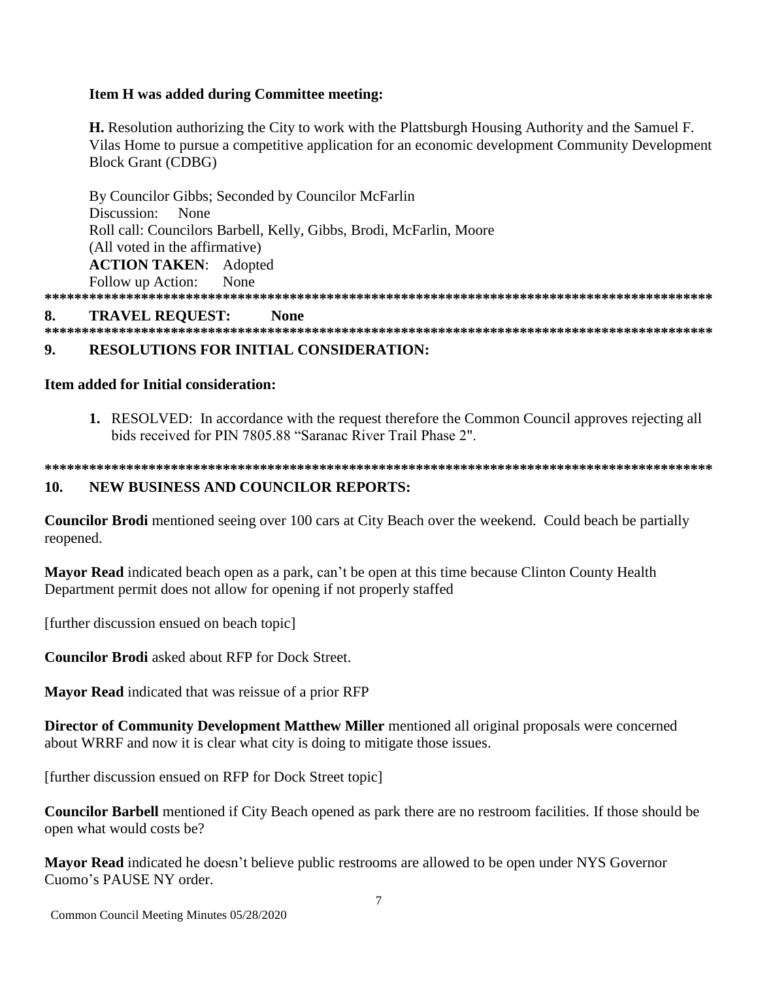### Item H was added during Committee meeting:

**H.** Resolution authorizing the City to work with the Plattsburgh Housing Authority and the Samuel F. Vilas Home to pursue a competitive application for an economic development Community Development **Block Grant (CDBG)** 

By Councilor Gibbs; Seconded by Councilor McFarlin Discussion: None Roll call: Councilors Barbell, Kelly, Gibbs, Brodi, McFarlin, Moore (All voted in the affirmative) **ACTION TAKEN:** Adopted Follow up Action: None 

#### **TRAVEL REQUEST:** 8. **None**

#### 9. **RESOLUTIONS FOR INITIAL CONSIDERATION:**

### **Item added for Initial consideration:**

1. RESOLVED: In accordance with the request therefore the Common Council approves rejecting all bids received for PIN 7805.88 "Saranac River Trail Phase 2".

#### 10. **NEW BUSINESS AND COUNCILOR REPORTS:**

**Councilor Brodi** mentioned seeing over 100 cars at City Beach over the weekend. Could beach be partially reopened.

**Mayor Read** indicated beach open as a park, can't be open at this time because Clinton County Health Department permit does not allow for opening if not properly staffed

[further discussion ensued on beach topic]

**Councilor Brodi** asked about RFP for Dock Street.

Mayor Read indicated that was reissue of a prior RFP

**Director of Community Development Matthew Miller mentioned all original proposals were concerned** about WRRF and now it is clear what city is doing to mitigate those issues.

[further discussion ensued on RFP for Dock Street topic]

**Councilor Barbell** mentioned if City Beach opened as park there are no restroom facilities. If those should be open what would costs be?

**Mayor Read** indicated he doesn't believe public restrooms are allowed to be open under NYS Governor Cuomo's PAUSE NY order.